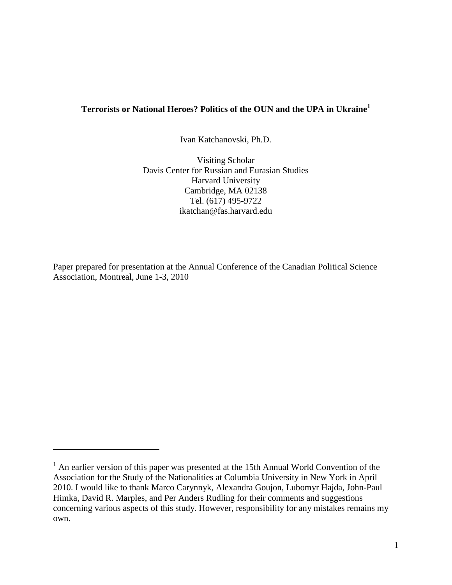# **Terrorists or National Heroes? Politics of the OUN and the UPA in Ukraine<sup>1</sup>**

Ivan Katchanovski, Ph.D.

Visiting Scholar Davis Center for Russian and Eurasian Studies Harvard University Cambridge, MA 02138 Tel. (617) 495-9722 ikatchan@fas.harvard.edu

Paper prepared for presentation at the Annual Conference of the Canadian Political Science Association, Montreal, June 1-3, 2010

 $\overline{a}$ 

 $<sup>1</sup>$  An earlier version of this paper was presented at the 15th Annual World Convention of the</sup> Association for the Study of the Nationalities at Columbia University in New York in April 2010. I would like to thank Marco Carynnyk, Alexandra Goujon, Lubomyr Hajda, John-Paul Himka, David R. Marples, and Per Anders Rudling for their comments and suggestions concerning various aspects of this study. However, responsibility for any mistakes remains my own.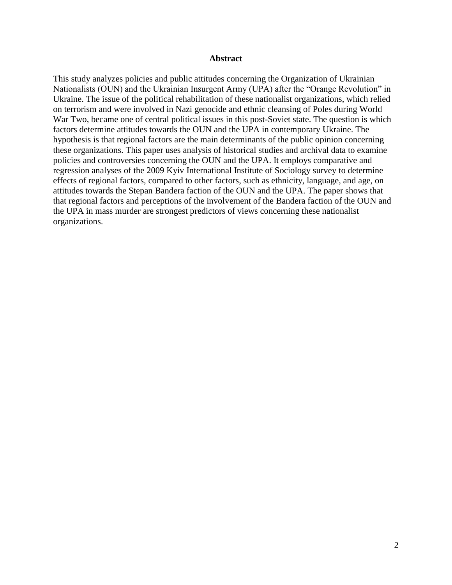### **Abstract**

This study analyzes policies and public attitudes concerning the Organization of Ukrainian Nationalists (OUN) and the Ukrainian Insurgent Army (UPA) after the "Orange Revolution" in Ukraine. The issue of the political rehabilitation of these nationalist organizations, which relied on terrorism and were involved in Nazi genocide and ethnic cleansing of Poles during World War Two, became one of central political issues in this post-Soviet state. The question is which factors determine attitudes towards the OUN and the UPA in contemporary Ukraine. The hypothesis is that regional factors are the main determinants of the public opinion concerning these organizations. This paper uses analysis of historical studies and archival data to examine policies and controversies concerning the OUN and the UPA. It employs comparative and regression analyses of the 2009 Kyiv International Institute of Sociology survey to determine effects of regional factors, compared to other factors, such as ethnicity, language, and age, on attitudes towards the Stepan Bandera faction of the OUN and the UPA. The paper shows that that regional factors and perceptions of the involvement of the Bandera faction of the OUN and the UPA in mass murder are strongest predictors of views concerning these nationalist organizations.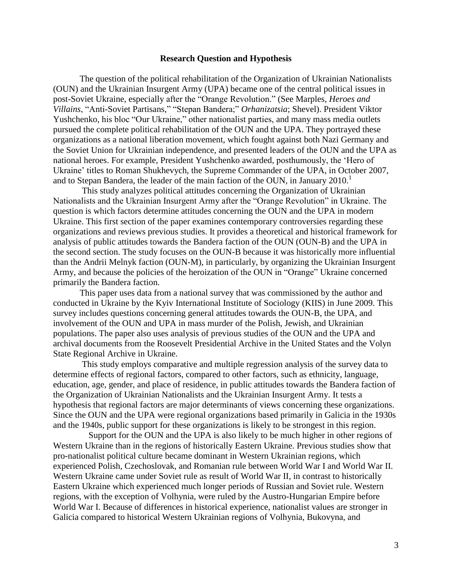#### **Research Question and Hypothesis**

The question of the political rehabilitation of the Organization of Ukrainian Nationalists (OUN) and the Ukrainian Insurgent Army (UPA) became one of the central political issues in post-Soviet Ukraine, especially after the "Orange Revolution." (See Marples, *Heroes and Villains*, "Anti-Soviet Partisans," "Stepan Bandera;" *Orhanizatsia*; Shevel). President Viktor Yushchenko, his bloc "Our Ukraine," other nationalist parties, and many mass media outlets pursued the complete political rehabilitation of the OUN and the UPA. They portrayed these organizations as a national liberation movement, which fought against both Nazi Germany and the Soviet Union for Ukrainian independence, and presented leaders of the OUN and the UPA as national heroes. For example, President Yushchenko awarded, posthumously, the "Hero of Ukraine" titles to Roman Shukhevych, the Supreme Commander of the UPA, in October 2007, and to Stepan Bandera, the leader of the main faction of the OUN, in January  $2010<sup>1</sup>$ 

 This study analyzes political attitudes concerning the Organization of Ukrainian Nationalists and the Ukrainian Insurgent Army after the "Orange Revolution" in Ukraine. The question is which factors determine attitudes concerning the OUN and the UPA in modern Ukraine. This first section of the paper examines contemporary controversies regarding these organizations and reviews previous studies. It provides a theoretical and historical framework for analysis of public attitudes towards the Bandera faction of the OUN (OUN-B) and the UPA in the second section. The study focuses on the OUN-B because it was historically more influential than the Andrii Melnyk faction (OUN-M), in particularly, by organizing the Ukrainian Insurgent Army, and because the policies of the heroization of the OUN in "Orange" Ukraine concerned primarily the Bandera faction.

 This paper uses data from a national survey that was commissioned by the author and conducted in Ukraine by the Kyiv International Institute of Sociology (KIIS) in June 2009. This survey includes questions concerning general attitudes towards the OUN-B, the UPA, and involvement of the OUN and UPA in mass murder of the Polish, Jewish, and Ukrainian populations. The paper also uses analysis of previous studies of the OUN and the UPA and archival documents from the Roosevelt Presidential Archive in the United States and the Volyn State Regional Archive in Ukraine.

 This study employs comparative and multiple regression analysis of the survey data to determine effects of regional factors, compared to other factors, such as ethnicity, language, education, age, gender, and place of residence, in public attitudes towards the Bandera faction of the Organization of Ukrainian Nationalists and the Ukrainian Insurgent Army. It tests a hypothesis that regional factors are major determinants of views concerning these organizations. Since the OUN and the UPA were regional organizations based primarily in Galicia in the 1930s and the 1940s, public support for these organizations is likely to be strongest in this region.

 Support for the OUN and the UPA is also likely to be much higher in other regions of Western Ukraine than in the regions of historically Eastern Ukraine. Previous studies show that pro-nationalist political culture became dominant in Western Ukrainian regions, which experienced Polish, Czechoslovak, and Romanian rule between World War I and World War II. Western Ukraine came under Soviet rule as result of World War II, in contrast to historically Eastern Ukraine which experienced much longer periods of Russian and Soviet rule. Western regions, with the exception of Volhynia, were ruled by the Austro-Hungarian Empire before World War I. Because of differences in historical experience, nationalist values are stronger in Galicia compared to historical Western Ukrainian regions of Volhynia, Bukovyna, and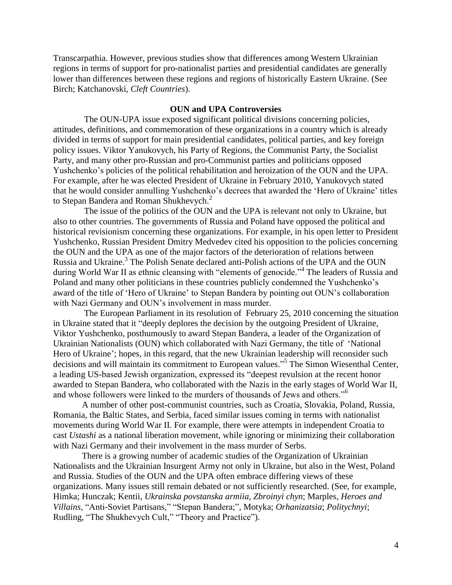Transcarpathia. However, previous studies show that differences among Western Ukrainian regions in terms of support for pro-nationalist parties and presidential candidates are generally lower than differences between these regions and regions of historically Eastern Ukraine. (See Birch; Katchanovski, *Cleft Countries*).

# **OUN and UPA Controversies**

 The OUN-UPA issue exposed significant political divisions concerning policies, attitudes, definitions, and commemoration of these organizations in a country which is already divided in terms of support for main presidential candidates, political parties, and key foreign policy issues. Viktor Yanukovych, his Party of Regions, the Communist Party, the Socialist Party, and many other pro-Russian and pro-Communist parties and politicians opposed Yushchenko"s policies of the political rehabilitation and heroization of the OUN and the UPA. For example, after he was elected President of Ukraine in February 2010, Yanukovych stated that he would consider annulling Yushchenko's decrees that awarded the 'Hero of Ukraine' titles to Stepan Bandera and Roman Shukhevych.<sup>2</sup>

 The issue of the politics of the OUN and the UPA is relevant not only to Ukraine, but also to other countries. The governments of Russia and Poland have opposed the political and historical revisionism concerning these organizations. For example, in his open letter to President Yushchenko, Russian President Dmitry Medvedev cited his opposition to the policies concerning the OUN and the UPA as one of the major factors of the deterioration of relations between Russia and Ukraine. 3 The Polish Senate declared anti-Polish actions of the UPA and the OUN during World War II as ethnic cleansing with "elements of genocide."<sup>4</sup> The leaders of Russia and Poland and many other politicians in these countries publicly condemned the Yushchenko"s award of the title of "Hero of Ukraine" to Stepan Bandera by pointing out OUN"s collaboration with Nazi Germany and OUN's involvement in mass murder.

 The European Parliament in its resolution of February 25, 2010 concerning the situation in Ukraine stated that it "deeply deplores the decision by the outgoing President of Ukraine, Viktor Yushchenko, posthumously to award Stepan Bandera, a leader of the Organization of Ukrainian Nationalists (OUN) which collaborated with Nazi Germany, the title of "National Hero of Ukraine'; hopes, in this regard, that the new Ukrainian leadership will reconsider such decisions and will maintain its commitment to European values." 5 The Simon Wiesenthal Center, a leading US-based Jewish organization, expressed its "deepest revulsion at the recent honor awarded to Stepan Bandera, who collaborated with the Nazis in the early stages of World War II, and whose followers were linked to the murders of thousands of Jews and others."<sup>6</sup>

 A number of other post-communist countries, such as Croatia, Slovakia, Poland, Russia, Romania, the Baltic States, and Serbia, faced similar issues coming in terms with nationalist movements during World War II. For example, there were attempts in independent Croatia to cast *Ustashi* as a national liberation movement, while ignoring or minimizing their collaboration with Nazi Germany and their involvement in the mass murder of Serbs.

 There is a growing number of academic studies of the Organization of Ukrainian Nationalists and the Ukrainian Insurgent Army not only in Ukraine, but also in the West, Poland and Russia. Studies of the OUN and the UPA often embrace differing views of these organizations. Many issues still remain debated or not sufficiently researched. (See, for example, Himka; Hunczak; Kentii, *Ukrainska povstanska armiia, Zbroinyi chyn*; Marples, *Heroes and Villains*, "Anti-Soviet Partisans," "Stepan Bandera;", Motyka; *Orhanizatsia*; *Politychnyi*; Rudling, "The Shukhevych Cult," "Theory and Practice").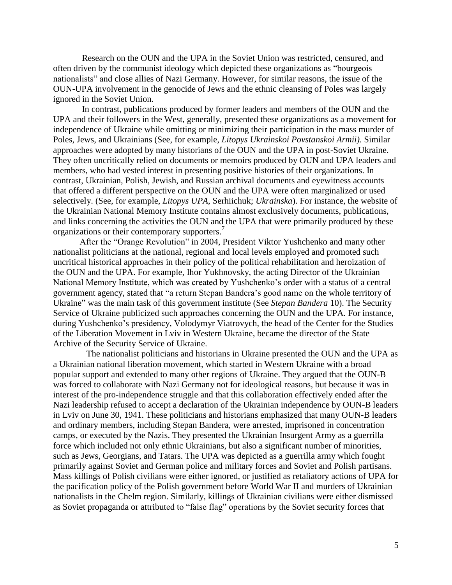Research on the OUN and the UPA in the Soviet Union was restricted, censured, and often driven by the communist ideology which depicted these organizations as "bourgeois nationalists" and close allies of Nazi Germany. However, for similar reasons, the issue of the OUN-UPA involvement in the genocide of Jews and the ethnic cleansing of Poles was largely ignored in the Soviet Union.

 In contrast, publications produced by former leaders and members of the OUN and the UPA and their followers in the West, generally, presented these organizations as a movement for independence of Ukraine while omitting or minimizing their participation in the mass murder of Poles, Jews, and Ukrainians (See, for example, *Litopys Ukrainskoi Povstanskoi Armii)*. Similar approaches were adopted by many historians of the OUN and the UPA in post-Soviet Ukraine. They often uncritically relied on documents or memoirs produced by OUN and UPA leaders and members, who had vested interest in presenting positive histories of their organizations. In contrast, Ukrainian, Polish, Jewish, and Russian archival documents and eyewitness accounts that offered a different perspective on the OUN and the UPA were often marginalized or used selectively. (See, for example, *Litopys UPA*, Serhiichuk; *Ukrainska*). For instance, the website of the Ukrainian National Memory Institute contains almost exclusively documents, publications, and links concerning the activities the OUN and the UPA that were primarily produced by these organizations or their contemporary supporters.<sup>7</sup>

 After the "Orange Revolution" in 2004, President Viktor Yushchenko and many other nationalist politicians at the national, regional and local levels employed and promoted such uncritical historical approaches in their policy of the political rehabilitation and heroization of the OUN and the UPA. For example, Ihor Yukhnovsky, the acting Director of the Ukrainian National Memory Institute, which was created by Yushchenko"s order with a status of a central government agency, stated that "a return Stepan Bandera"s good name on the whole territory of Ukraine" was the main task of this government institute (See *Stepan Bandera* 10). The Security Service of Ukraine publicized such approaches concerning the OUN and the UPA. For instance, during Yushchenko's presidency, Volodymyr Viatrovych, the head of the Center for the Studies of the Liberation Movement in Lviv in Western Ukraine, became the director of the State Archive of the Security Service of Ukraine.

 The nationalist politicians and historians in Ukraine presented the OUN and the UPA as a Ukrainian national liberation movement, which started in Western Ukraine with a broad popular support and extended to many other regions of Ukraine. They argued that the OUN-B was forced to collaborate with Nazi Germany not for ideological reasons, but because it was in interest of the pro-independence struggle and that this collaboration effectively ended after the Nazi leadership refused to accept a declaration of the Ukrainian independence by OUN-B leaders in Lviv on June 30, 1941. These politicians and historians emphasized that many OUN-B leaders and ordinary members, including Stepan Bandera, were arrested, imprisoned in concentration camps, or executed by the Nazis. They presented the Ukrainian Insurgent Army as a guerrilla force which included not only ethnic Ukrainians, but also a significant number of minorities, such as Jews, Georgians, and Tatars. The UPA was depicted as a guerrilla army which fought primarily against Soviet and German police and military forces and Soviet and Polish partisans. Mass killings of Polish civilians were either ignored, or justified as retaliatory actions of UPA for the pacification policy of the Polish government before World War II and murders of Ukrainian nationalists in the Chelm region. Similarly, killings of Ukrainian civilians were either dismissed as Soviet propaganda or attributed to "false flag" operations by the Soviet security forces that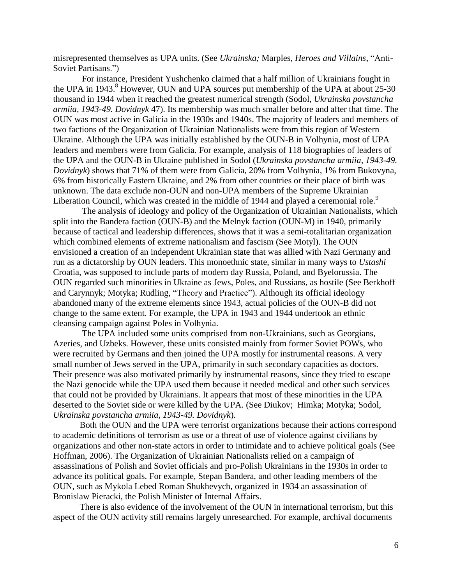misrepresented themselves as UPA units. (See *Ukrainska;* Marples, *Heroes and Villains*, "Anti-Soviet Partisans.")

 For instance, President Yushchenko claimed that a half million of Ukrainians fought in the UPA in  $1943.8$ <sup>8</sup> However, OUN and UPA sources put membership of the UPA at about  $25-30$ thousand in 1944 when it reached the greatest numerical strength (Sodol, *Ukrainska povstancha armiia, 1943-49. Dovidnyk* 47). Its membership was much smaller before and after that time. The OUN was most active in Galicia in the 1930s and 1940s. The majority of leaders and members of two factions of the Organization of Ukrainian Nationalists were from this region of Western Ukraine. Although the UPA was initially established by the OUN-B in Volhynia, most of UPA leaders and members were from Galicia. For example, analysis of 118 biographies of leaders of the UPA and the OUN-B in Ukraine published in Sodol (*Ukrainska povstancha armiia*, *1943-49. Dovidnyk*) shows that 71% of them were from Galicia, 20% from Volhynia, 1% from Bukovyna, 6% from historically Eastern Ukraine, and 2% from other countries or their place of birth was unknown. The data exclude non-OUN and non-UPA members of the Supreme Ukrainian Liberation Council, which was created in the middle of 1944 and played a ceremonial role.<sup>9</sup>

 The analysis of ideology and policy of the Organization of Ukrainian Nationalists, which split into the Bandera faction (OUN-B) and the Melnyk faction (OUN-M) in 1940, primarily because of tactical and leadership differences, shows that it was a semi-totalitarian organization which combined elements of extreme nationalism and fascism (See Motyl). The OUN envisioned a creation of an independent Ukrainian state that was allied with Nazi Germany and run as a dictatorship by OUN leaders. This monoethnic state, similar in many ways to *Ustashi*  Croatia, was supposed to include parts of modern day Russia, Poland, and Byelorussia. The OUN regarded such minorities in Ukraine as Jews, Poles, and Russians, as hostile (See Berkhoff and Carynnyk; Motyka; Rudling, "Theory and Practice"). Although its official ideology abandoned many of the extreme elements since 1943, actual policies of the OUN-B did not change to the same extent. For example, the UPA in 1943 and 1944 undertook an ethnic cleansing campaign against Poles in Volhynia.

 The UPA included some units comprised from non-Ukrainians, such as Georgians, Azeries, and Uzbeks. However, these units consisted mainly from former Soviet POWs, who were recruited by Germans and then joined the UPA mostly for instrumental reasons. A very small number of Jews served in the UPA, primarily in such secondary capacities as doctors. Their presence was also motivated primarily by instrumental reasons, since they tried to escape the Nazi genocide while the UPA used them because it needed medical and other such services that could not be provided by Ukrainians. It appears that most of these minorities in the UPA deserted to the Soviet side or were killed by the UPA. (See Diukov; Himka; Motyka; Sodol, *Ukrainska povstancha armiia, 1943-49. Dovidnyk*).

 Both the OUN and the UPA were terrorist organizations because their actions correspond to academic definitions of terrorism as use or a threat of use of violence against civilians by organizations and other non-state actors in order to intimidate and to achieve political goals (See Hoffman, 2006). The Organization of Ukrainian Nationalists relied on a campaign of assassinations of Polish and Soviet officials and pro-Polish Ukrainians in the 1930s in order to advance its political goals. For example, Stepan Bandera, and other leading members of the OUN, such as Mykola Lebed Roman Shukhevych, organized in 1934 an assassination of Bronislaw Pieracki, the Polish Minister of Internal Affairs.

 There is also evidence of the involvement of the OUN in international terrorism, but this aspect of the OUN activity still remains largely unresearched. For example, archival documents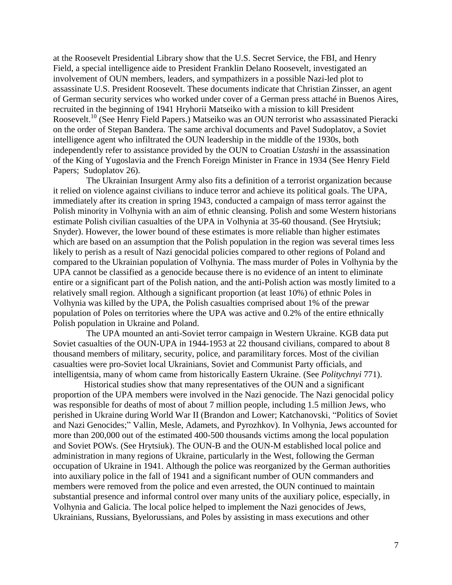at the Roosevelt Presidential Library show that the U.S. Secret Service, the FBI, and Henry Field, a special intelligence aide to President Franklin Delano Roosevelt, investigated an involvement of OUN members, leaders, and sympathizers in a possible Nazi-led plot to assassinate U.S. President Roosevelt. These documents indicate that Christian Zinsser, an agent of German security services who worked under cover of a German press attaché in Buenos Aires, recruited in the beginning of 1941 Hryhorii Matseiko with a mission to kill President Roosevelt.<sup>10</sup> (See Henry Field Papers.) Matseiko was an OUN terrorist who assassinated Pieracki on the order of Stepan Bandera. The same archival documents and Pavel Sudoplatov, a Soviet intelligence agent who infiltrated the OUN leadership in the middle of the 1930s, both independently refer to assistance provided by the OUN to Croatian *Ustashi* in the assassination of the King of Yugoslavia and the French Foreign Minister in France in 1934 (See Henry Field Papers; Sudoplatov 26).

 The Ukrainian Insurgent Army also fits a definition of a terrorist organization because it relied on violence against civilians to induce terror and achieve its political goals. The UPA, immediately after its creation in spring 1943, conducted a campaign of mass terror against the Polish minority in Volhynia with an aim of ethnic cleansing. Polish and some Western historians estimate Polish civilian casualties of the UPA in Volhynia at 35-60 thousand. (See Hrytsiuk; Snyder). However, the lower bound of these estimates is more reliable than higher estimates which are based on an assumption that the Polish population in the region was several times less likely to perish as a result of Nazi genocidal policies compared to other regions of Poland and compared to the Ukrainian population of Volhynia. The mass murder of Poles in Volhynia by the UPA cannot be classified as a genocide because there is no evidence of an intent to eliminate entire or a significant part of the Polish nation, and the anti-Polish action was mostly limited to a relatively small region. Although a significant proportion (at least 10%) of ethnic Poles in Volhynia was killed by the UPA, the Polish casualties comprised about 1% of the prewar population of Poles on territories where the UPA was active and 0.2% of the entire ethnically Polish population in Ukraine and Poland.

 The UPA mounted an anti-Soviet terror campaign in Western Ukraine. KGB data put Soviet casualties of the OUN-UPA in 1944-1953 at 22 thousand civilians, compared to about 8 thousand members of military, security, police, and paramilitary forces. Most of the civilian casualties were pro-Soviet local Ukrainians, Soviet and Communist Party officials, and intelligentsia, many of whom came from historically Eastern Ukraine. (See *Politychnyi* 771).

 Historical studies show that many representatives of the OUN and a significant proportion of the UPA members were involved in the Nazi genocide. The Nazi genocidal policy was responsible for deaths of most of about 7 million people, including 1.5 million Jews, who perished in Ukraine during World War II (Brandon and Lower; Katchanovski, "Politics of Soviet and Nazi Genocides;" Vallin, Mesle, Adamets, and Pyrozhkov). In Volhynia, Jews accounted for more than 200,000 out of the estimated 400-500 thousands victims among the local population and Soviet POWs. (See Hrytsiuk). The OUN-B and the OUN-M established local police and administration in many regions of Ukraine, particularly in the West, following the German occupation of Ukraine in 1941. Although the police was reorganized by the German authorities into auxiliary police in the fall of 1941 and a significant number of OUN commanders and members were removed from the police and even arrested, the OUN continued to maintain substantial presence and informal control over many units of the auxiliary police, especially, in Volhynia and Galicia. The local police helped to implement the Nazi genocides of Jews, Ukrainians, Russians, Byelorussians, and Poles by assisting in mass executions and other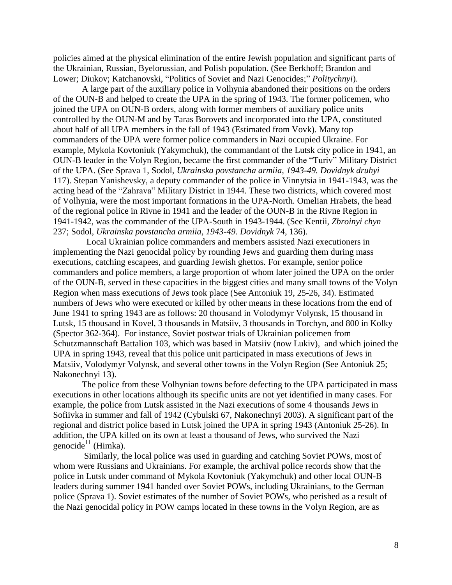policies aimed at the physical elimination of the entire Jewish population and significant parts of the Ukrainian, Russian, Byelorussian, and Polish population. (See Berkhoff; Brandon and Lower; Diukov; Katchanovski, "Politics of Soviet and Nazi Genocides;" *Politychnyi*).

 A large part of the auxiliary police in Volhynia abandoned their positions on the orders of the OUN-B and helped to create the UPA in the spring of 1943. The former policemen, who joined the UPA on OUN-B orders, along with former members of auxiliary police units controlled by the OUN-M and by Taras Borovets and incorporated into the UPA, constituted about half of all UPA members in the fall of 1943 (Estimated from Vovk). Many top commanders of the UPA were former police commanders in Nazi occupied Ukraine. For example, Mykola Kovtoniuk (Yakymchuk), the commandant of the Lutsk city police in 1941, an OUN-B leader in the Volyn Region, became the first commander of the "Turiv" Military District of the UPA. (See Sprava 1, Sodol, *Ukrainska povstancha armiia, 1943-49. Dovidnyk druhyi* 117). Stepan Yanishevsky, a deputy commander of the police in Vinnytsia in 1941-1943, was the acting head of the "Zahrava" Military District in 1944. These two districts, which covered most of Volhynia, were the most important formations in the UPA-North. Omelian Hrabets, the head of the regional police in Rivne in 1941 and the leader of the OUN-B in the Rivne Region in 1941-1942, was the commander of the UPA-South in 1943-1944. (See Kentii, *Zbroinyi chyn* 237; Sodol, *Ukrainska povstancha armiia, 1943-49. Dovidnyk* 74, 136).

 Local Ukrainian police commanders and members assisted Nazi executioners in implementing the Nazi genocidal policy by rounding Jews and guarding them during mass executions, catching escapees, and guarding Jewish ghettos. For example, senior police commanders and police members, a large proportion of whom later joined the UPA on the order of the OUN-B, served in these capacities in the biggest cities and many small towns of the Volyn Region when mass executions of Jews took place (See Antoniuk 19, 25-26, 34). Estimated numbers of Jews who were executed or killed by other means in these locations from the end of June 1941 to spring 1943 are as follows: 20 thousand in Volodymyr Volynsk, 15 thousand in Lutsk, 15 thousand in Kovel, 3 thousands in Matsiiv, 3 thousands in Torchyn, and 800 in Kolky (Spector 362-364). For instance, Soviet postwar trials of Ukrainian policemen from Schutzmannschaft Battalion 103, which was based in Matsiiv (now Lukiv), and which joined the UPA in spring 1943, reveal that this police unit participated in mass executions of Jews in Matsiiv, Volodymyr Volynsk, and several other towns in the Volyn Region (See Antoniuk 25; Nakonechnyi 13).

 The police from these Volhynian towns before defecting to the UPA participated in mass executions in other locations although its specific units are not yet identified in many cases. For example, the police from Lutsk assisted in the Nazi executions of some 4 thousands Jews in Sofiivka in summer and fall of 1942 (Cybulski 67, Nakonechnyi 2003). A significant part of the regional and district police based in Lutsk joined the UPA in spring 1943 (Antoniuk 25-26). In addition, the UPA killed on its own at least a thousand of Jews, who survived the Nazi genocide<sup>11</sup> (Himka).

 Similarly, the local police was used in guarding and catching Soviet POWs, most of whom were Russians and Ukrainians. For example, the archival police records show that the police in Lutsk under command of Mykola Kovtoniuk (Yakymchuk) and other local OUN-B leaders during summer 1941 handed over Soviet POWs, including Ukrainians, to the German police (Sprava 1). Soviet estimates of the number of Soviet POWs, who perished as a result of the Nazi genocidal policy in POW camps located in these towns in the Volyn Region, are as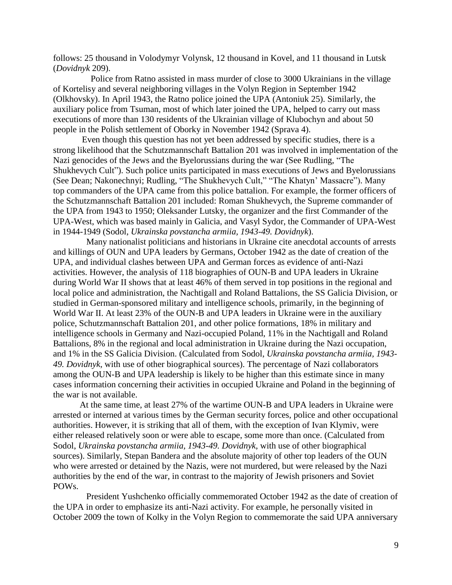follows: 25 thousand in Volodymyr Volynsk, 12 thousand in Kovel, and 11 thousand in Lutsk (*Dovidnyk* 209).

 Police from Ratno assisted in mass murder of close to 3000 Ukrainians in the village of Kortelisy and several neighboring villages in the Volyn Region in September 1942 (Olkhovsky). In April 1943, the Ratno police joined the UPA (Antoniuk 25). Similarly, the auxiliary police from Tsuman, most of which later joined the UPA, helped to carry out mass executions of more than 130 residents of the Ukrainian village of Klubochyn and about 50 people in the Polish settlement of Oborky in November 1942 (Sprava 4).

 Even though this question has not yet been addressed by specific studies, there is a strong likelihood that the Schutzmannschaft Battalion 201 was involved in implementation of the Nazi genocides of the Jews and the Byelorussians during the war (See Rudling, "The Shukhevych Cult"). Such police units participated in mass executions of Jews and Byelorussians (See Dean; Nakonechnyi; Rudling, "The Shukhevych Cult," "The Khatyn" Massacre"). Many top commanders of the UPA came from this police battalion. For example, the former officers of the Schutzmannschaft Battalion 201 included: Roman Shukhevych, the Supreme commander of the UPA from 1943 to 1950; Oleksander Lutsky, the organizer and the first Commander of the UPA-West, which was based mainly in Galicia, and Vasyl Sydor, the Commander of UPA-West in 1944-1949 (Sodol, *Ukrainska povstancha armiia, 1943-49. Dovidnyk*).

 Many nationalist politicians and historians in Ukraine cite anecdotal accounts of arrests and killings of OUN and UPA leaders by Germans, October 1942 as the date of creation of the UPA, and individual clashes between UPA and German forces as evidence of anti-Nazi activities. However, the analysis of 118 biographies of OUN-B and UPA leaders in Ukraine during World War II shows that at least 46% of them served in top positions in the regional and local police and administration, the Nachtigall and Roland Battalions, the SS Galicia Division, or studied in German-sponsored military and intelligence schools, primarily, in the beginning of World War II. At least 23% of the OUN-B and UPA leaders in Ukraine were in the auxiliary police, Schutzmannschaft Battalion 201, and other police formations, 18% in military and intelligence schools in Germany and Nazi-occupied Poland, 11% in the Nachtigall and Roland Battalions, 8% in the regional and local administration in Ukraine during the Nazi occupation, and 1% in the SS Galicia Division. (Calculated from Sodol, *Ukrainska povstancha armiia, 1943- 49. Dovidnyk*, with use of other biographical sources). The percentage of Nazi collaborators among the OUN-B and UPA leadership is likely to be higher than this estimate since in many cases information concerning their activities in occupied Ukraine and Poland in the beginning of the war is not available.

 At the same time, at least 27% of the wartime OUN-B and UPA leaders in Ukraine were arrested or interned at various times by the German security forces, police and other occupational authorities. However, it is striking that all of them, with the exception of Ivan Klymiv, were either released relatively soon or were able to escape, some more than once. (Calculated from Sodol, *Ukrainska povstancha armiia, 1943-49. Dovidnyk*, with use of other biographical sources). Similarly, Stepan Bandera and the absolute majority of other top leaders of the OUN who were arrested or detained by the Nazis, were not murdered, but were released by the Nazi authorities by the end of the war, in contrast to the majority of Jewish prisoners and Soviet POWs.

 President Yushchenko officially commemorated October 1942 as the date of creation of the UPA in order to emphasize its anti-Nazi activity. For example, he personally visited in October 2009 the town of Kolky in the Volyn Region to commemorate the said UPA anniversary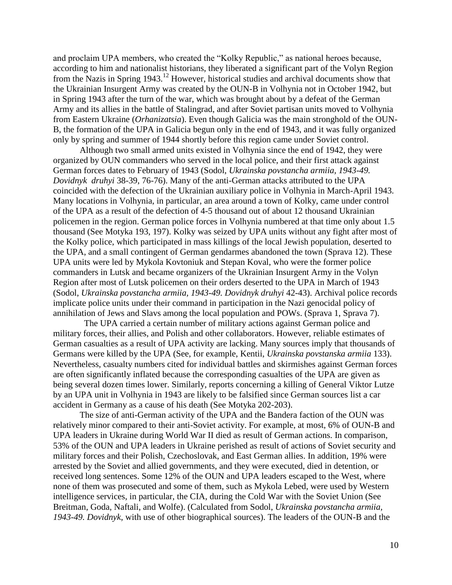and proclaim UPA members, who created the "Kolky Republic," as national heroes because, according to him and nationalist historians, they liberated a significant part of the Volyn Region from the Nazis in Spring 1943.<sup>12</sup> However, historical studies and archival documents show that the Ukrainian Insurgent Army was created by the OUN-B in Volhynia not in October 1942, but in Spring 1943 after the turn of the war, which was brought about by a defeat of the German Army and its allies in the battle of Stalingrad, and after Soviet partisan units moved to Volhynia from Eastern Ukraine (*Orhanizatsia*). Even though Galicia was the main stronghold of the OUN-B, the formation of the UPA in Galicia begun only in the end of 1943, and it was fully organized only by spring and summer of 1944 shortly before this region came under Soviet control.

 Although two small armed units existed in Volhynia since the end of 1942, they were organized by OUN commanders who served in the local police, and their first attack against German forces dates to February of 1943 (Sodol, *Ukrainska povstancha armiia, 1943-49. Dovidnyk druhyi* 38-39, 76-76). Many of the anti-German attacks attributed to the UPA coincided with the defection of the Ukrainian auxiliary police in Volhynia in March-April 1943. Many locations in Volhynia, in particular, an area around a town of Kolky, came under control of the UPA as a result of the defection of 4-5 thousand out of about 12 thousand Ukrainian policemen in the region. German police forces in Volhynia numbered at that time only about 1.5 thousand (See Motyka 193, 197). Kolky was seized by UPA units without any fight after most of the Kolky police, which participated in mass killings of the local Jewish population, deserted to the UPA, and a small contingent of German gendarmes abandoned the town (Sprava 12). These UPA units were led by Mykola Kovtoniuk and Stepan Koval, who were the former police commanders in Lutsk and became organizers of the Ukrainian Insurgent Army in the Volyn Region after most of Lutsk policemen on their orders deserted to the UPA in March of 1943 (Sodol, *Ukrainska povstancha armiia, 1943-49. Dovidnyk druhyi* 42-43). Archival police records implicate police units under their command in participation in the Nazi genocidal policy of annihilation of Jews and Slavs among the local population and POWs. (Sprava 1, Sprava 7).

 The UPA carried a certain number of military actions against German police and military forces, their allies, and Polish and other collaborators. However, reliable estimates of German casualties as a result of UPA activity are lacking. Many sources imply that thousands of Germans were killed by the UPA (See, for example, Kentii, *Ukrainska povstanska armiia* 133). Nevertheless, casualty numbers cited for individual battles and skirmishes against German forces are often significantly inflated because the corresponding casualties of the UPA are given as being several dozen times lower. Similarly, reports concerning a killing of General Viktor Lutze by an UPA unit in Volhynia in 1943 are likely to be falsified since German sources list a car accident in Germany as a cause of his death (See Motyka 202-203).

 The size of anti-German activity of the UPA and the Bandera faction of the OUN was relatively minor compared to their anti-Soviet activity. For example, at most, 6% of OUN-B and UPA leaders in Ukraine during World War II died as result of German actions. In comparison, 53% of the OUN and UPA leaders in Ukraine perished as result of actions of Soviet security and military forces and their Polish, Czechoslovak, and East German allies. In addition, 19% were arrested by the Soviet and allied governments, and they were executed, died in detention, or received long sentences. Some 12% of the OUN and UPA leaders escaped to the West, where none of them was prosecuted and some of them, such as Mykola Lebed, were used by Western intelligence services, in particular, the CIA, during the Cold War with the Soviet Union (See Breitman, Goda, Naftali, and Wolfe). (Calculated from Sodol, *Ukrainska povstancha armiia, 1943-49. Dovidnyk*, with use of other biographical sources). The leaders of the OUN-B and the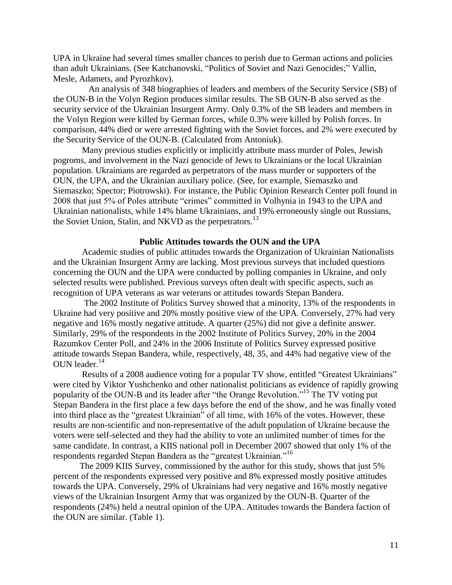UPA in Ukraine had several times smaller chances to perish due to German actions and policies than adult Ukrainians. (See Katchanovski, "Politics of Soviet and Nazi Genocides;" Vallin, Mesle, Adamets, and Pyrozhkov).

 An analysis of 348 biographies of leaders and members of the Security Service (SB) of the OUN-B in the Volyn Region produces similar results. The SB OUN-B also served as the security service of the Ukrainian Insurgent Army. Only 0.3% of the SB leaders and members in the Volyn Region were killed by German forces, while 0.3% were killed by Polish forces. In comparison, 44% died or were arrested fighting with the Soviet forces, and 2% were executed by the Security Service of the OUN-B. (Calculated from Antoniuk).

 Many previous studies explicitly or implicitly attribute mass murder of Poles, Jewish pogroms, and involvement in the Nazi genocide of Jews to Ukrainians or the local Ukrainian population. Ukrainians are regarded as perpetrators of the mass murder or supporters of the OUN, the UPA, and the Ukrainian auxiliary police. (See, for example, Siemaszko and Siemaszko; Spector; Piotrowski). For instance, the Public Opinion Research Center poll found in 2008 that just 5% of Poles attribute "crimes" committed in Volhynia in 1943 to the UPA and Ukrainian nationalists, while 14% blame Ukrainians, and 19% erroneously single out Russians, the Soviet Union, Stalin, and NKVD as the perpetrators.<sup>13</sup>

## **Public Attitudes towards the OUN and the UPA**

 Academic studies of public attitudes towards the Organization of Ukrainian Nationalists and the Ukrainian Insurgent Army are lacking. Most previous surveys that included questions concerning the OUN and the UPA were conducted by polling companies in Ukraine, and only selected results were published. Previous surveys often dealt with specific aspects, such as recognition of UPA veterans as war veterans or attitudes towards Stepan Bandera.

 The 2002 Institute of Politics Survey showed that a minority, 13% of the respondents in Ukraine had very positive and 20% mostly positive view of the UPA. Conversely, 27% had very negative and 16% mostly negative attitude. A quarter (25%) did not give a definite answer. Similarly, 29% of the respondents in the 2002 Institute of Politics Survey, 20% in the 2004 Razumkov Center Poll, and 24% in the 2006 Institute of Politics Survey expressed positive attitude towards Stepan Bandera, while, respectively, 48, 35, and 44% had negative view of the OUN leader. 14

 Results of a 2008 audience voting for a popular TV show, entitled "Greatest Ukrainians" were cited by Viktor Yushchenko and other nationalist politicians as evidence of rapidly growing popularity of the OUN-B and its leader after "the Orange Revolution." <sup>15</sup> The TV voting put Stepan Bandera in the first place a few days before the end of the show, and he was finally voted into third place as the "greatest Ukrainian" of all time, with 16% of the votes. However, these results are non-scientific and non-representative of the adult population of Ukraine because the voters were self-selected and they had the ability to vote an unlimited number of times for the same candidate. In contrast, a KIIS national poll in December 2007 showed that only 1% of the respondents regarded Stepan Bandera as the "greatest Ukrainian."<sup>16</sup>

 The 2009 KIIS Survey, commissioned by the author for this study, shows that just 5% percent of the respondents expressed very positive and 8% expressed mostly positive attitudes towards the UPA. Conversely, 29% of Ukrainians had very negative and 16% mostly negative views of the Ukrainian Insurgent Army that was organized by the OUN-B. Quarter of the respondents (24%) held a neutral opinion of the UPA. Attitudes towards the Bandera faction of the OUN are similar. (Table 1).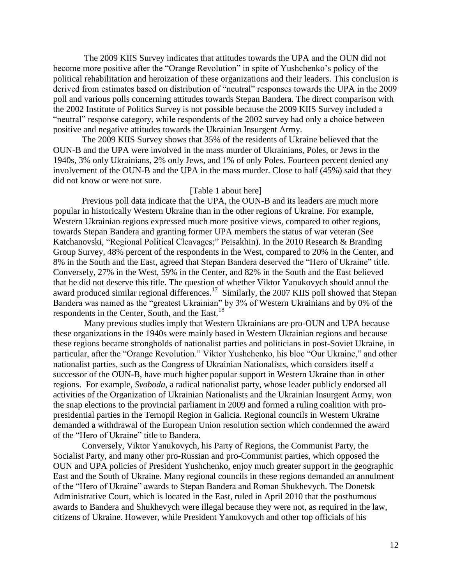The 2009 KIIS Survey indicates that attitudes towards the UPA and the OUN did not become more positive after the "Orange Revolution" in spite of Yushchenko"s policy of the political rehabilitation and heroization of these organizations and their leaders. This conclusion is derived from estimates based on distribution of "neutral" responses towards the UPA in the 2009 poll and various polls concerning attitudes towards Stepan Bandera. The direct comparison with the 2002 Institute of Politics Survey is not possible because the 2009 KIIS Survey included a "neutral" response category, while respondents of the 2002 survey had only a choice between positive and negative attitudes towards the Ukrainian Insurgent Army.

 The 2009 KIIS Survey shows that 35% of the residents of Ukraine believed that the OUN-B and the UPA were involved in the mass murder of Ukrainians, Poles, or Jews in the 1940s, 3% only Ukrainians, 2% only Jews, and 1% of only Poles. Fourteen percent denied any involvement of the OUN-B and the UPA in the mass murder. Close to half (45%) said that they did not know or were not sure.

### [Table 1 about here]

 Previous poll data indicate that the UPA, the OUN-B and its leaders are much more popular in historically Western Ukraine than in the other regions of Ukraine. For example, Western Ukrainian regions expressed much more positive views, compared to other regions, towards Stepan Bandera and granting former UPA members the status of war veteran (See Katchanovski, "Regional Political Cleavages;" Peisakhin). In the 2010 Research & Branding Group Survey, 48% percent of the respondents in the West, compared to 20% in the Center, and 8% in the South and the East, agreed that Stepan Bandera deserved the "Hero of Ukraine" title. Conversely, 27% in the West, 59% in the Center, and 82% in the South and the East believed that he did not deserve this title. The question of whether Viktor Yanukovych should annul the award produced similar regional differences.<sup>17</sup> Similarly, the 2007 KIIS poll showed that Stepan Bandera was named as the "greatest Ukrainian" by 3% of Western Ukrainians and by 0% of the respondents in the Center, South, and the East.<sup>18</sup>

 Many previous studies imply that Western Ukrainians are pro-OUN and UPA because these organizations in the 1940s were mainly based in Western Ukrainian regions and because these regions became strongholds of nationalist parties and politicians in post-Soviet Ukraine, in particular, after the "Orange Revolution." Viktor Yushchenko, his bloc "Our Ukraine," and other nationalist parties, such as the Congress of Ukrainian Nationalists, which considers itself a successor of the OUN-B, have much higher popular support in Western Ukraine than in other regions. For example, *Svoboda*, a radical nationalist party, whose leader publicly endorsed all activities of the Organization of Ukrainian Nationalists and the Ukrainian Insurgent Army, won the snap elections to the provincial parliament in 2009 and formed a ruling coalition with propresidential parties in the Ternopil Region in Galicia. Regional councils in Western Ukraine demanded a withdrawal of the European Union resolution section which condemned the award of the "Hero of Ukraine" title to Bandera.

 Conversely, Viktor Yanukovych, his Party of Regions, the Communist Party, the Socialist Party, and many other pro-Russian and pro-Communist parties, which opposed the OUN and UPA policies of President Yushchenko, enjoy much greater support in the geographic East and the South of Ukraine. Many regional councils in these regions demanded an annulment of the "Hero of Ukraine" awards to Stepan Bandera and Roman Shukhevych. The Donetsk Administrative Court, which is located in the East, ruled in April 2010 that the posthumous awards to Bandera and Shukhevych were illegal because they were not, as required in the law, citizens of Ukraine. However, while President Yanukovych and other top officials of his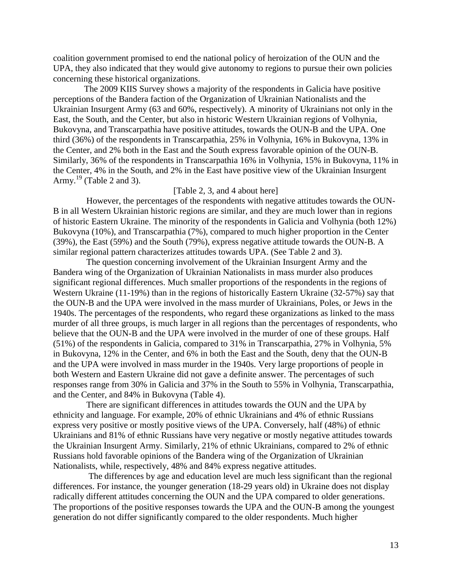coalition government promised to end the national policy of heroization of the OUN and the UPA, they also indicated that they would give autonomy to regions to pursue their own policies concerning these historical organizations.

 The 2009 KIIS Survey shows a majority of the respondents in Galicia have positive perceptions of the Bandera faction of the Organization of Ukrainian Nationalists and the Ukrainian Insurgent Army (63 and 60%, respectively). A minority of Ukrainians not only in the East, the South, and the Center, but also in historic Western Ukrainian regions of Volhynia, Bukovyna, and Transcarpathia have positive attitudes, towards the OUN-B and the UPA. One third (36%) of the respondents in Transcarpathia, 25% in Volhynia, 16% in Bukovyna, 13% in the Center, and 2% both in the East and the South express favorable opinion of the OUN-B. Similarly, 36% of the respondents in Transcarpathia 16% in Volhynia, 15% in Bukovyna, 11% in the Center, 4% in the South, and 2% in the East have positive view of the Ukrainian Insurgent Army.<sup>19</sup> (Table 2 and 3).

# [Table 2, 3, and 4 about here]

 However, the percentages of the respondents with negative attitudes towards the OUN-B in all Western Ukrainian historic regions are similar, and they are much lower than in regions of historic Eastern Ukraine. The minority of the respondents in Galicia and Volhynia (both 12%) Bukovyna (10%), and Transcarpathia (7%), compared to much higher proportion in the Center (39%), the East (59%) and the South (79%), express negative attitude towards the OUN-B. A similar regional pattern characterizes attitudes towards UPA. (See Table 2 and 3).

 The question concerning involvement of the Ukrainian Insurgent Army and the Bandera wing of the Organization of Ukrainian Nationalists in mass murder also produces significant regional differences. Much smaller proportions of the respondents in the regions of Western Ukraine (11-19%) than in the regions of historically Eastern Ukraine (32-57%) say that the OUN-B and the UPA were involved in the mass murder of Ukrainians, Poles, or Jews in the 1940s. The percentages of the respondents, who regard these organizations as linked to the mass murder of all three groups, is much larger in all regions than the percentages of respondents, who believe that the OUN-B and the UPA were involved in the murder of one of these groups. Half (51%) of the respondents in Galicia, compared to 31% in Transcarpathia, 27% in Volhynia, 5% in Bukovyna, 12% in the Center, and 6% in both the East and the South, deny that the OUN-B and the UPA were involved in mass murder in the 1940s. Very large proportions of people in both Western and Eastern Ukraine did not gave a definite answer. The percentages of such responses range from 30% in Galicia and 37% in the South to 55% in Volhynia, Transcarpathia, and the Center, and 84% in Bukovyna (Table 4).

 There are significant differences in attitudes towards the OUN and the UPA by ethnicity and language. For example, 20% of ethnic Ukrainians and 4% of ethnic Russians express very positive or mostly positive views of the UPA. Conversely, half (48%) of ethnic Ukrainians and 81% of ethnic Russians have very negative or mostly negative attitudes towards the Ukrainian Insurgent Army. Similarly, 21% of ethnic Ukrainians, compared to 2% of ethnic Russians hold favorable opinions of the Bandera wing of the Organization of Ukrainian Nationalists, while, respectively, 48% and 84% express negative attitudes.

 The differences by age and education level are much less significant than the regional differences. For instance, the younger generation (18-29 years old) in Ukraine does not display radically different attitudes concerning the OUN and the UPA compared to older generations. The proportions of the positive responses towards the UPA and the OUN-B among the youngest generation do not differ significantly compared to the older respondents. Much higher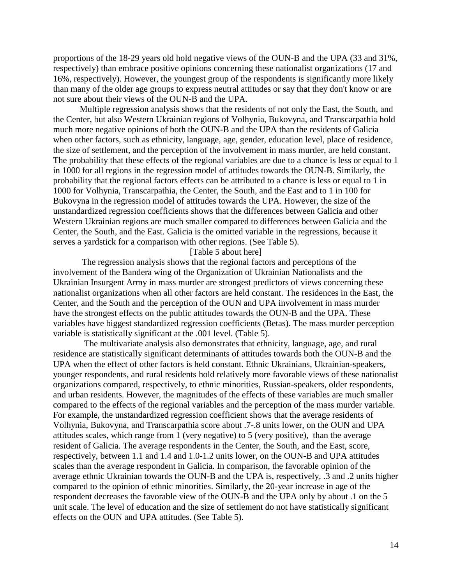proportions of the 18-29 years old hold negative views of the OUN-B and the UPA (33 and 31%, respectively) than embrace positive opinions concerning these nationalist organizations (17 and 16%, respectively). However, the youngest group of the respondents is significantly more likely than many of the older age groups to express neutral attitudes or say that they don't know or are not sure about their views of the OUN-B and the UPA.

 Multiple regression analysis shows that the residents of not only the East, the South, and the Center, but also Western Ukrainian regions of Volhynia, Bukovyna, and Transcarpathia hold much more negative opinions of both the OUN-B and the UPA than the residents of Galicia when other factors, such as ethnicity, language, age, gender, education level, place of residence, the size of settlement, and the perception of the involvement in mass murder, are held constant. The probability that these effects of the regional variables are due to a chance is less or equal to 1 in 1000 for all regions in the regression model of attitudes towards the OUN-B. Similarly, the probability that the regional factors effects can be attributed to a chance is less or equal to 1 in 1000 for Volhynia, Transcarpathia, the Center, the South, and the East and to 1 in 100 for Bukovyna in the regression model of attitudes towards the UPA. However, the size of the unstandardized regression coefficients shows that the differences between Galicia and other Western Ukrainian regions are much smaller compared to differences between Galicia and the Center, the South, and the East. Galicia is the omitted variable in the regressions, because it serves a yardstick for a comparison with other regions. (See Table 5).

# [Table 5 about here]

 The regression analysis shows that the regional factors and perceptions of the involvement of the Bandera wing of the Organization of Ukrainian Nationalists and the Ukrainian Insurgent Army in mass murder are strongest predictors of views concerning these nationalist organizations when all other factors are held constant. The residences in the East, the Center, and the South and the perception of the OUN and UPA involvement in mass murder have the strongest effects on the public attitudes towards the OUN-B and the UPA. These variables have biggest standardized regression coefficients (Betas). The mass murder perception variable is statistically significant at the .001 level. (Table 5).

 The multivariate analysis also demonstrates that ethnicity, language, age, and rural residence are statistically significant determinants of attitudes towards both the OUN-B and the UPA when the effect of other factors is held constant. Ethnic Ukrainians, Ukrainian-speakers, younger respondents, and rural residents hold relatively more favorable views of these nationalist organizations compared, respectively, to ethnic minorities, Russian-speakers, older respondents, and urban residents. However, the magnitudes of the effects of these variables are much smaller compared to the effects of the regional variables and the perception of the mass murder variable. For example, the unstandardized regression coefficient shows that the average residents of Volhynia, Bukovyna, and Transcarpathia score about .7-.8 units lower, on the OUN and UPA attitudes scales, which range from 1 (very negative) to 5 (very positive), than the average resident of Galicia. The average respondents in the Center, the South, and the East, score, respectively, between 1.1 and 1.4 and 1.0-1.2 units lower, on the OUN-B and UPA attitudes scales than the average respondent in Galicia. In comparison, the favorable opinion of the average ethnic Ukrainian towards the OUN-B and the UPA is, respectively, .3 and .2 units higher compared to the opinion of ethnic minorities. Similarly, the 20-year increase in age of the respondent decreases the favorable view of the OUN-B and the UPA only by about .1 on the 5 unit scale. The level of education and the size of settlement do not have statistically significant effects on the OUN and UPA attitudes. (See Table 5).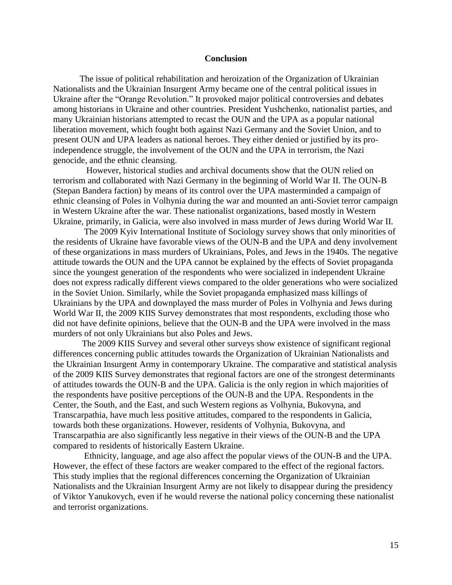#### **Conclusion**

 The issue of political rehabilitation and heroization of the Organization of Ukrainian Nationalists and the Ukrainian Insurgent Army became one of the central political issues in Ukraine after the "Orange Revolution." It provoked major political controversies and debates among historians in Ukraine and other countries. President Yushchenko, nationalist parties, and many Ukrainian historians attempted to recast the OUN and the UPA as a popular national liberation movement, which fought both against Nazi Germany and the Soviet Union, and to present OUN and UPA leaders as national heroes. They either denied or justified by its proindependence struggle, the involvement of the OUN and the UPA in terrorism, the Nazi genocide, and the ethnic cleansing.

 However, historical studies and archival documents show that the OUN relied on terrorism and collaborated with Nazi Germany in the beginning of World War II. The OUN-B (Stepan Bandera faction) by means of its control over the UPA masterminded a campaign of ethnic cleansing of Poles in Volhynia during the war and mounted an anti-Soviet terror campaign in Western Ukraine after the war. These nationalist organizations, based mostly in Western Ukraine, primarily, in Galicia, were also involved in mass murder of Jews during World War II.

 The 2009 Kyiv International Institute of Sociology survey shows that only minorities of the residents of Ukraine have favorable views of the OUN-B and the UPA and deny involvement of these organizations in mass murders of Ukrainians, Poles, and Jews in the 1940s. The negative attitude towards the OUN and the UPA cannot be explained by the effects of Soviet propaganda since the youngest generation of the respondents who were socialized in independent Ukraine does not express radically different views compared to the older generations who were socialized in the Soviet Union. Similarly, while the Soviet propaganda emphasized mass killings of Ukrainians by the UPA and downplayed the mass murder of Poles in Volhynia and Jews during World War II, the 2009 KIIS Survey demonstrates that most respondents, excluding those who did not have definite opinions, believe that the OUN-B and the UPA were involved in the mass murders of not only Ukrainians but also Poles and Jews.

 The 2009 KIIS Survey and several other surveys show existence of significant regional differences concerning public attitudes towards the Organization of Ukrainian Nationalists and the Ukrainian Insurgent Army in contemporary Ukraine. The comparative and statistical analysis of the 2009 KIIS Survey demonstrates that regional factors are one of the strongest determinants of attitudes towards the OUN-B and the UPA. Galicia is the only region in which majorities of the respondents have positive perceptions of the OUN-B and the UPA. Respondents in the Center, the South, and the East, and such Western regions as Volhynia, Bukovyna, and Transcarpathia, have much less positive attitudes, compared to the respondents in Galicia, towards both these organizations. However, residents of Volhynia, Bukovyna, and Transcarpathia are also significantly less negative in their views of the OUN-B and the UPA compared to residents of historically Eastern Ukraine.

 Ethnicity, language, and age also affect the popular views of the OUN-B and the UPA. However, the effect of these factors are weaker compared to the effect of the regional factors. This study implies that the regional differences concerning the Organization of Ukrainian Nationalists and the Ukrainian Insurgent Army are not likely to disappear during the presidency of Viktor Yanukovych, even if he would reverse the national policy concerning these nationalist and terrorist organizations.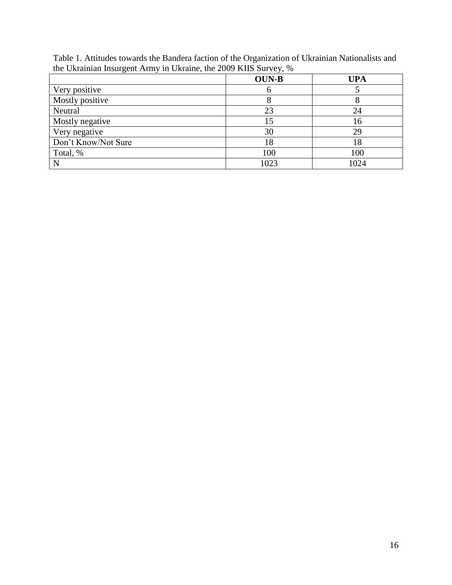Table 1. Attitudes towards the Bandera faction of the Organization of Ukrainian Nationalists and the Ukrainian Insurgent Army in Ukraine, the 2009 KIIS Survey, %

|                     | <b>OUN-B</b> | UPA  |
|---------------------|--------------|------|
| Very positive       | O            |      |
| Mostly positive     | 8            |      |
| Neutral             | 23           | 24   |
| Mostly negative     | 15           | 16   |
| Very negative       | 30           | 29   |
| Don't Know/Not Sure | 18           | 18   |
| Total, %            | 100          | 100  |
| N                   | 1023         | 1024 |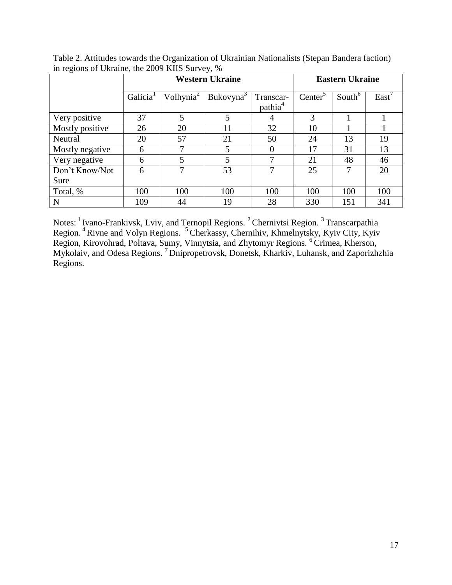| ັ               | <b>Western Ukraine</b> |                       |                       |                                  | <b>Eastern Ukraine</b> |                    |       |  |
|-----------------|------------------------|-----------------------|-----------------------|----------------------------------|------------------------|--------------------|-------|--|
|                 | Galicia <sup>1</sup>   | Volhynia <sup>2</sup> | Bukovyna <sup>3</sup> | Transcar-<br>pathia <sup>4</sup> | Center <sup>5</sup>    | South <sup>6</sup> | East' |  |
| Very positive   | 37                     | 5                     | 5                     | 4                                | 3                      |                    |       |  |
| Mostly positive | 26                     | 20                    | 11                    | 32                               | 10                     |                    |       |  |
| Neutral         | 20                     | 57                    | 21                    | 50                               | 24                     | 13                 | 19    |  |
| Mostly negative | 6                      | 7                     | 5                     |                                  | 17                     | 31                 | 13    |  |
| Very negative   | 6                      | 5                     | 5                     |                                  | 21                     | 48                 | 46    |  |
| Don't Know/Not  | 6                      |                       | 53                    |                                  | 25                     | 7                  | 20    |  |
| Sure            |                        |                       |                       |                                  |                        |                    |       |  |
| Total, %        | 100                    | 100                   | 100                   | 100                              | 100                    | 100                | 100   |  |
| ${\bf N}$       | 109                    | 44                    | 19                    | 28                               | 330                    | 151                | 341   |  |

Table 2. Attitudes towards the Organization of Ukrainian Nationalists (Stepan Bandera faction) in regions of Ukraine, the 2009 KIIS Survey, %

Notes: <sup>1</sup> Ivano-Frankivsk, Lviv, and Ternopil Regions. <sup>2</sup> Chernivtsi Region. <sup>3</sup> Transcarpathia Region.<sup>4</sup> Rivne and Volyn Regions.<sup>5</sup> Cherkassy, Chernihiv, Khmelnytsky, Kyiv City, Kyiv Region, Kirovohrad, Poltava, Sumy, Vinnytsia, and Zhytomyr Regions. <sup>6</sup>Crimea, Kherson, Mykolaiv, and Odesa Regions. <sup>7</sup>Dnipropetrovsk, Donetsk, Kharkiv, Luhansk, and Zaporizhzhia Regions.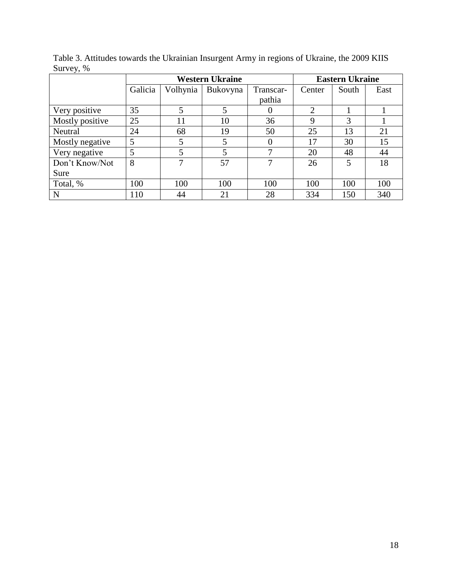|                 | <b>Western Ukraine</b> |          |          |           | <b>Eastern Ukraine</b> |       |      |  |
|-----------------|------------------------|----------|----------|-----------|------------------------|-------|------|--|
|                 | Galicia                | Volhynia | Bukovyna | Transcar- | Center                 | South | East |  |
|                 |                        |          |          | pathia    |                        |       |      |  |
| Very positive   | 35                     | 5        | 5        |           | $\overline{2}$         |       |      |  |
| Mostly positive | 25                     | 11       | 10       | 36        | 9                      | 3     |      |  |
| Neutral         | 24                     | 68       | 19       | 50        | 25                     | 13    | 21   |  |
| Mostly negative | 5                      | 5        |          |           | 17                     | 30    | 15   |  |
| Very negative   | 5                      | 5        | 5        | ⇁         | 20                     | 48    | 44   |  |
| Don't Know/Not  | 8                      |          | 57       | ⇁         | 26                     | 5     | 18   |  |
| Sure            |                        |          |          |           |                        |       |      |  |
| Total, %        | 100                    | 100      | 100      | 100       | 100                    | 100   | 100  |  |
| N               | 110                    | 44       | 21       | 28        | 334                    | 150   | 340  |  |

Table 3. Attitudes towards the Ukrainian Insurgent Army in regions of Ukraine, the 2009 KIIS Survey, %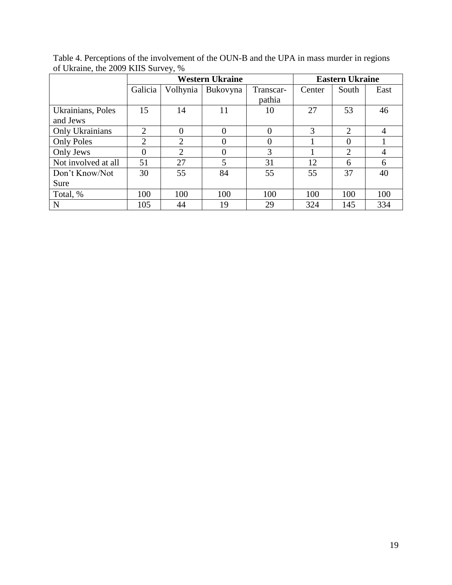|                     | <b>Western Ukraine</b> |                |                |           | <b>Eastern Ukraine</b> |                |      |  |
|---------------------|------------------------|----------------|----------------|-----------|------------------------|----------------|------|--|
|                     | Galicia                | Volhynia       | Bukovyna       | Transcar- | Center                 | South          | East |  |
|                     |                        |                |                | pathia    |                        |                |      |  |
| Ukrainians, Poles   | 15                     | 14             | 11             | 10        | 27                     | 53             | 46   |  |
| and Jews            |                        |                |                |           |                        |                |      |  |
| Only Ukrainians     | 2                      | $\overline{0}$ |                | $\theta$  | 3                      | $\overline{2}$ | 4    |  |
| <b>Only Poles</b>   | $\overline{2}$         | 2              | 0              | $\theta$  |                        | $\Omega$       |      |  |
| Only Jews           | 0                      | 2              |                | 3         |                        | $\overline{2}$ | 4    |  |
| Not involved at all | 51                     | 27             | $\overline{5}$ | 31        | 12                     | 6              | 6    |  |
| Don't Know/Not      | 30                     | 55             | 84             | 55        | 55                     | 37             | 40   |  |
| Sure                |                        |                |                |           |                        |                |      |  |
| Total, %            | 100                    | 100            | 100            | 100       | 100                    | 100            | 100  |  |
| N                   | 105                    | 44             | 19             | 29        | 324                    | 145            | 334  |  |

Table 4. Perceptions of the involvement of the OUN-B and the UPA in mass murder in regions of Ukraine, the 2009 KIIS Survey, %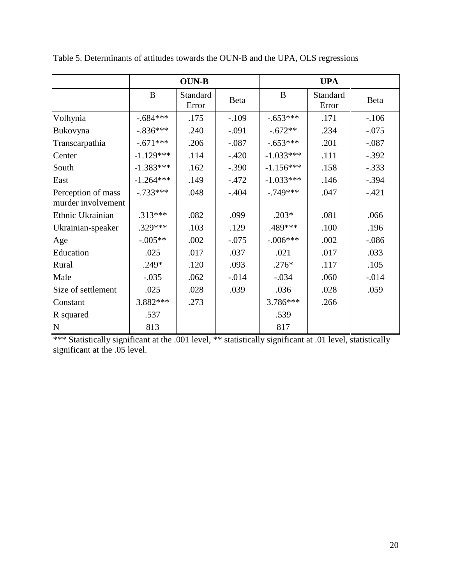|                                          |             | <b>OUN-B</b>      |          | <b>UPA</b>  |                   |          |  |
|------------------------------------------|-------------|-------------------|----------|-------------|-------------------|----------|--|
|                                          | B           | Standard<br>Error | Beta     | B           | Standard<br>Error | Beta     |  |
| Volhynia                                 | $-.684***$  | .175              | $-.109$  | $-.653***$  | .171              | $-.106$  |  |
| Bukovyna                                 | $-.836***$  | .240              | $-.091$  | $-.672**$   | .234              | $-.075$  |  |
| Transcarpathia                           | $-.671***$  | .206              | $-.087$  | $-.653***$  | .201              | $-.087$  |  |
| Center                                   | $-1.129***$ | .114              | $-.420$  | $-1.033***$ | .111              | $-.392$  |  |
| South                                    | $-1.383***$ | .162              | $-.390$  | $-1.156***$ | .158              | $-.333$  |  |
| East                                     | $-1.264***$ | .149              | $-.472$  | $-1.033***$ | .146              | $-.394$  |  |
| Perception of mass<br>murder involvement | $-.733***$  | .048              | $-.404$  | $-.749***$  | .047              | $-.421$  |  |
| Ethnic Ukrainian                         | $.313***$   | .082              | .099     | $.203*$     | .081              | .066     |  |
| Ukrainian-speaker                        | $.329***$   | .103              | .129     | .489***     | .100              | .196     |  |
| Age                                      | $-.005**$   | .002              | $-.075$  | $-.006***$  | .002              | $-.086$  |  |
| Education                                | .025        | .017              | .037     | .021        | .017              | .033     |  |
| Rural                                    | $.249*$     | .120              | .093     | $.276*$     | .117              | .105     |  |
| Male                                     | $-.035$     | .062              | $-0.014$ | $-.034$     | .060              | $-0.014$ |  |
| Size of settlement                       | .025        | .028              | .039     | .036        | .028              | .059     |  |
| Constant                                 | $3.882***$  | .273              |          | 3.786***    | .266              |          |  |
| R squared                                | .537        |                   |          | .539        |                   |          |  |
| ${\bf N}$                                | 813         |                   |          | 817         |                   |          |  |

Table 5. Determinants of attitudes towards the OUN-B and the UPA, OLS regressions

\*\*\* Statistically significant at the .001 level, \*\* statistically significant at .01 level, statistically significant at the .05 level.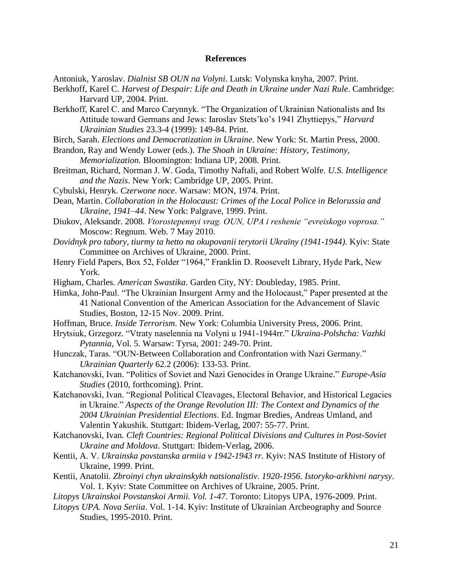#### **References**

Antoniuk, Yaroslav. *Dialnist SB OUN na Volyni*. Lutsk: Volynska knyha, 2007. Print.

- Berkhoff, Karel C. *Harvest of Despair: Life and Death in Ukraine under Nazi Rule*. Cambridge: Harvard UP, 2004. Print.
- Berkhoff, Karel C. and Marco Carynnyk. "The Organization of Ukrainian Nationalists and Its Attitude toward Germans and Jews: Iaroslav Stets"ko"s 1941 Zhyttiepys," *Harvard Ukrainian Studies* 23.3-4 (1999): 149-84. Print.
- Birch, Sarah. *Elections and Democratization in Ukraine*. New York: St. Martin Press, 2000.
- Brandon, Ray and Wendy Lower (eds.). *The Shoah in Ukraine: History, Testimony, Memorialization.* Bloomington: Indiana UP, 2008. Print.
- Breitman, Richard, Norman J. W. Goda, Timothy Naftali, and Robert Wolfe. *U.S. Intelligence and the Nazis*. New York: Cambridge UP, 2005. Print.
- Cybulski, Henryk. *Czerwone noce*. Warsaw: MON, 1974. Print.
- Dean, Martin. *Collaboration in the Holocaust: Crimes of the Local Police in Belorussia and Ukraine, 1941–44*. New York: Palgrave, 1999. Print.
- Diukov, Aleksandr. 2008. *Vtorostepennyi vrag. OUN, UPA i reshenie "evreiskogo voprosa."* Moscow: Regnum. Web. 7 May 2010.
- *Dovidnyk pro tabory, tiurmy ta hetto na okupovanii terytorii Ukraïny (1941-1944)*. Kyiv: State Committee on Archives of Ukraine, 2000. Print.
- Henry Field Papers, Box 52, Folder "1964," Franklin D. Roosevelt Library, Hyde Park, New York.
- Higham, Charles. *American Swastika*. Garden City, NY: Doubleday, 1985. Print.
- Himka, John-Paul. "The Ukrainian Insurgent Army and the Holocaust," Paper presented at the 41 National Convention of the American Association for the Advancement of Slavic Studies, Boston, 12-15 Nov. 2009. Print.
- Hoffman, Bruce. *Inside Terrorism*. New York: Columbia University Press, 2006. Print.
- Hrytsiuk, Grzegorz. "Vtraty naselennia na Volyni u 1941-1944rr." *Ukraina-Polshcha: Vazhki Pytannia*, Vol. 5. Warsaw: Tyrsa, 2001: 249-70. Print.
- Hunczak, Taras. "OUN-Between Collaboration and Confrontation with Nazi Germany." *Ukrainian Quarterly* 62.2 (2006): 133-53. Print.
- Katchanovski, Ivan. "Politics of Soviet and Nazi Genocides in Orange Ukraine." *Europe-Asia Studies* (2010, forthcoming). Print.
- Katchanovski, Ivan. "Regional Political Cleavages, Electoral Behavior, and Historical Legacies in Ukraine." *Aspects of the Orange Revolution III: The Context and Dynamics of the 2004 Ukrainian Presidential Elections*. Ed. Ingmar Bredies, Andreas Umland, and Valentin Yakushik. Stuttgart: Ibidem-Verlag, 2007: 55-77. Print.
- Katchanovski, Ivan. *Cleft Countries: Regional Political Divisions and Cultures in Post-Soviet Ukraine and Moldova*. Stuttgart: Ibidem-Verlag, 2006.
- Kentii, A. V. *Ukrainska povstanska armiia v 1942-1943 rr.* Kyiv: NAS Institute of History of Ukraine, 1999. Print.
- Kentii, Anatolii. *Zbroinyi chyn ukrainskykh natsionalistiv. 1920-1956. Istoryko-arkhivni narysy*. Vol. 1. Kyiv: State Committee on Archives of Ukraine, 2005. Print.
- *Litopys Ukrainskoi Povstanskoi Armii. Vol. 1-47*. Toronto: Litopys UPA, 1976-2009. Print.
- *Litopys UPA. Nova Seriia*. Vol. 1-14. Kyiv: Institute of Ukrainian Archeography and Source Studies, 1995-2010. Print.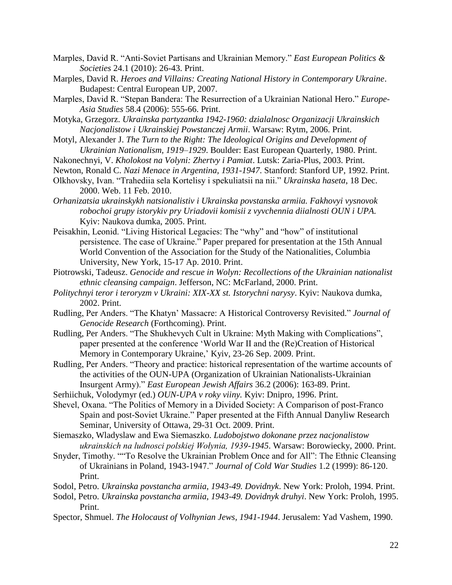- Marples, David R. "Anti-Soviet Partisans and Ukrainian Memory." *East European Politics & Societies* 24.1 (2010): 26-43. Print.
- Marples, David R. *Heroes and Villains: Creating National History in Contemporary Ukraine*. Budapest: Central European UP, 2007.
- Marples, David R. "Stepan Bandera: The Resurrection of a Ukrainian National Hero." *Europe-Asia Studies* 58.4 (2006): 555-66. Print.
- Motyka, Grzegorz. *Ukrainska partyzantka 1942-1960: dzialalnosc Organizacji Ukrainskich Nacjonalistow i Ukrainskiej Powstanczej Armii*. Warsaw: Rytm, 2006. Print.
- Motyl, Alexander J. *The Turn to the Right: The Ideological Origins and Development of Ukrainian Nationalism, 1919–1929*. Boulder: East European Quarterly, 1980. Print.
- Nakonechnyi, V. *Kholokost na Volyni: Zhertvy i Pamiat*. Lutsk: Zaria-Plus, 2003. Print.
- Newton, Ronald C. *Nazi Menace in Argentina, 1931-1947*. Stanford: Stanford UP, 1992. Print.
- Olkhovsky, Ivan. "Trahediia sela Kortelisy i spekuliatsii na nii." *Ukrainska haseta*, 18 Dec. 2000. Web. 11 Feb. 2010.
- *Orhanizatsia ukrainskykh natsionalistiv i Ukrainska povstanska armiia. Fakhovyi vysnovok robochoi grupy istorykiv pry Uriadovii komisii z vyvchennia diialnosti OUN i UPA.* Kyiv: Naukova dumka, 2005. Print.
- Peisakhin, Leonid. "Living Historical Legacies: The "why" and "how" of institutional persistence. The case of Ukraine." Paper prepared for presentation at the 15th Annual World Convention of the Association for the Study of the Nationalities, Columbia University, New York, 15-17 Ap. 2010. Print.
- Piotrowski, Tadeusz. *Genocide and rescue in Wolyn: Recollections of the Ukrainian nationalist ethnic cleansing campaign*. Jefferson, NC: McFarland, 2000. Print.
- *Politychnyi teror i teroryzm v Ukraini: XIX-XX st. Istorychni narysy*. Kyiv: Naukova dumka, 2002. Print.
- Rudling, Per Anders. "The Khatyn" Massacre: A Historical Controversy Revisited." *Journal of Genocide Research* (Forthcoming). Print.
- Rudling, Per Anders. "The Shukhevych Cult in Ukraine: Myth Making with Complications", paper presented at the conference 'World War II and the (Re)Creation of Historical Memory in Contemporary Ukraine,' Kyiv, 23-26 Sep. 2009. Print.
- Rudling, Per Anders. "Theory and practice: historical representation of the wartime accounts of the activities of the OUN-UPA (Organization of Ukrainian Nationalists-Ukrainian Insurgent Army)." *East European Jewish Affairs* 36.2 (2006): 163-89. Print.
- Serhiichuk, Volodymyr (ed.) *OUN-UPA v roky viiny.* Kyiv: Dnipro, 1996. Print.
- Shevel, Oxana. "The Politics of Memory in a Divided Society: A Comparison of post-Franco Spain and post-Soviet Ukraine." Paper presented at the Fifth Annual Danyliw Research Seminar, University of Ottawa, 29-31 Oct. 2009. Print.
- Siemaszko, Wladyslaw and Ewa Siemaszko. *Ludobojstwo dokonane przez nacjonalistow ukrainskich na ludnosci polskiej Wołynia, 1939-1945*. Warsaw: Borowiecky, 2000. Print.
- Snyder, Timothy. ""To Resolve the Ukrainian Problem Once and for All": The Ethnic Cleansing of Ukrainians in Poland, 1943-1947." *Journal of Cold War Studies* 1.2 (1999): 86-120. Print.
- Sodol, Petro. *Ukrainska povstancha armiia, 1943-49. Dovidnyk*. New York: Proloh, 1994. Print.
- Sodol, Petro. *Ukrainska povstancha armiia, 1943-49. Dovidnyk druhyi*. New York: Proloh, 1995. Print.
- Spector, Shmuel. *The Holocaust of Volhynian Jews, 1941-1944*. Jerusalem: Yad Vashem, 1990.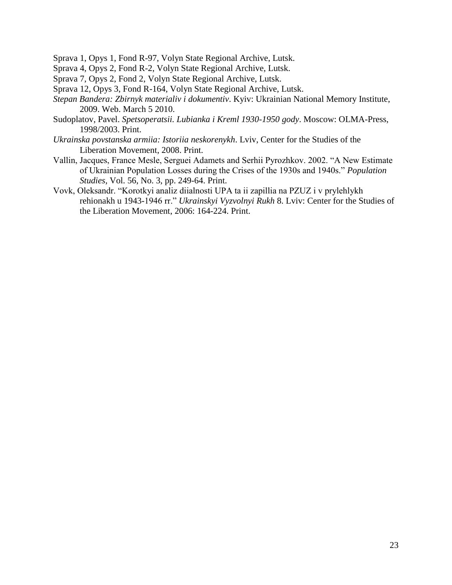Sprava 1, Opys 1, Fond R-97, Volyn State Regional Archive, Lutsk.

Sprava 4, Opys 2, Fond R-2, Volyn State Regional Archive, Lutsk.

Sprava 7, Opys 2, Fond 2, Volyn State Regional Archive, Lutsk.

Sprava 12, Opys 3, Fond R-164, Volyn State Regional Archive, Lutsk.

- *Stepan Bandera: Zbirnyk materialiv i dokumentiv*. Kyiv: Ukrainian National Memory Institute, 2009. Web. March 5 2010.
- Sudoplatov, Pavel. *Spetsoperatsii. Lubianka i Kreml 1930-1950 gody*. Moscow: OLMA-Press, 1998/2003. Print.
- *Ukrainska povstanska armiia: Istoriia neskorenykh*. Lviv, Center for the Studies of the Liberation Movement, 2008. Print.
- Vallin, Jacques, France Mesle, Serguei Adamets and Serhii Pyrozhkov. 2002. "A New Estimate of Ukrainian Population Losses during the Crises of the 1930s and 1940s." *Population Studies*, Vol. 56, No. 3, pp. 249-64. Print.
- Vovk, Oleksandr. "Korotkyi analiz diialnosti UPA ta ii zapillia na PZUZ i v prylehlykh rehionakh u 1943-1946 rr." *Ukrainskyi Vyzvolnyi Rukh* 8. Lviv: Center for the Studies of the Liberation Movement, 2006: 164-224. Print.